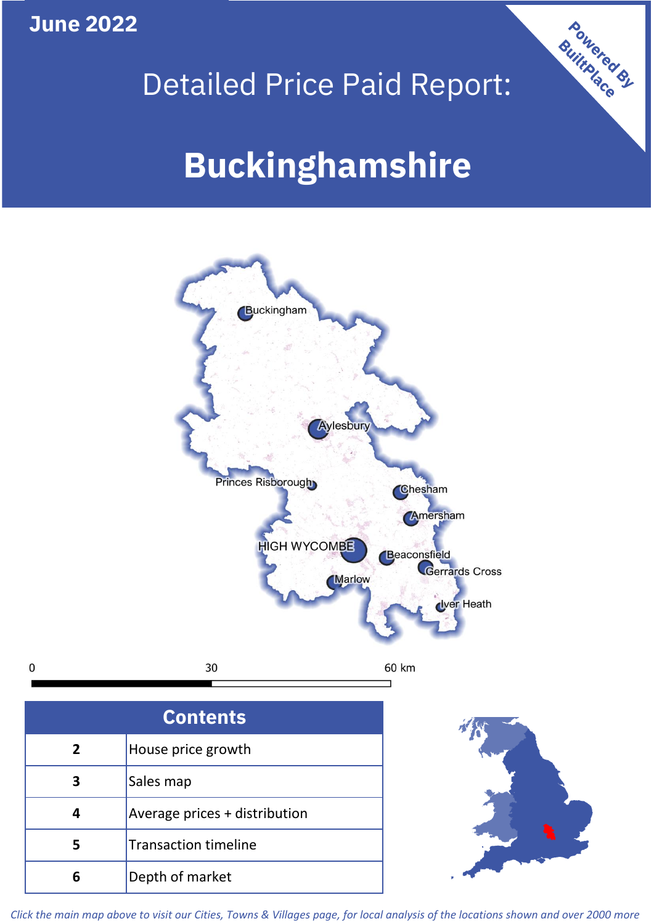**June 2022**

 $\mathbf 0$ 





| <b>Contents</b> |                               |  |  |
|-----------------|-------------------------------|--|--|
| $\overline{2}$  | House price growth            |  |  |
|                 | Sales map                     |  |  |
|                 | Average prices + distribution |  |  |
| 5               | <b>Transaction timeline</b>   |  |  |
|                 | Depth of market               |  |  |



*Click the main map above to visit our Cities, Towns & Villages page, for local analysis of the locations shown and over 2000 more*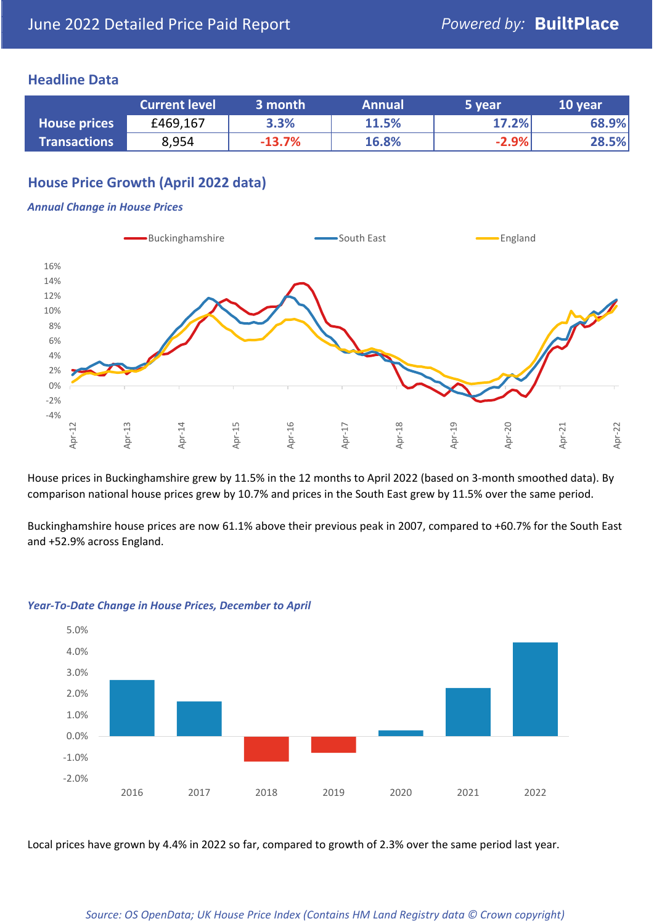## **Headline Data**

|                     | <b>Current level</b> | 3 month  | <b>Annual</b> | 5 year  | 10 year |
|---------------------|----------------------|----------|---------------|---------|---------|
| <b>House prices</b> | £469,167             | 3.3%     | 11.5%         | 17.2%   | 68.9%   |
| <b>Transactions</b> | 8,954                | $-13.7%$ | 16.8%         | $-2.9%$ | 28.5%   |

# **House Price Growth (April 2022 data)**

### *Annual Change in House Prices*



House prices in Buckinghamshire grew by 11.5% in the 12 months to April 2022 (based on 3-month smoothed data). By comparison national house prices grew by 10.7% and prices in the South East grew by 11.5% over the same period.

Buckinghamshire house prices are now 61.1% above their previous peak in 2007, compared to +60.7% for the South East and +52.9% across England.



### *Year-To-Date Change in House Prices, December to April*

Local prices have grown by 4.4% in 2022 so far, compared to growth of 2.3% over the same period last year.

### *Source: OS OpenData; UK House Price Index (Contains HM Land Registry data © Crown copyright)*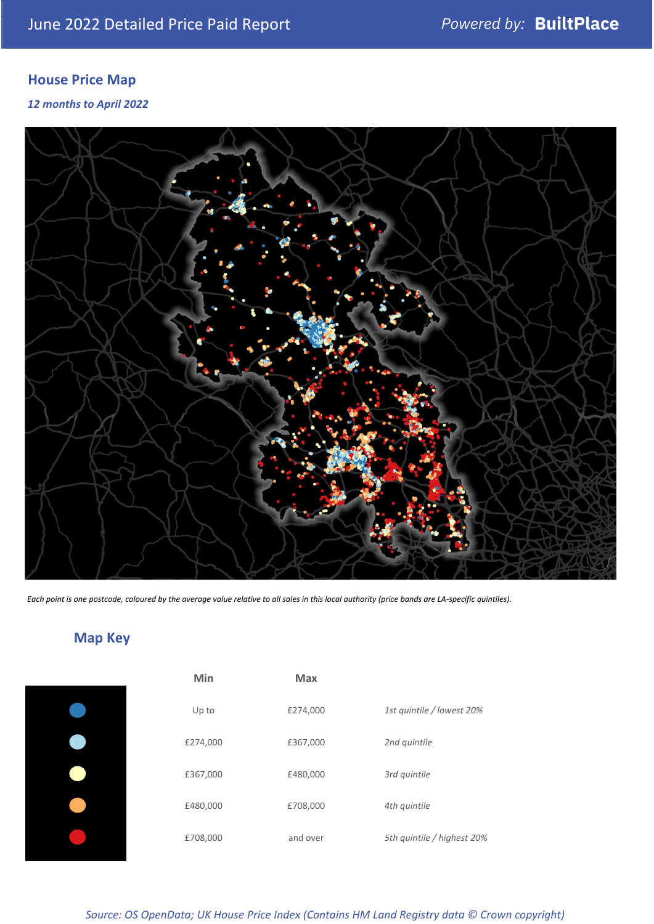# **House Price Map**

*12 months to April 2022*



*Each point is one postcode, coloured by the average value relative to all sales in this local authority (price bands are LA-specific quintiles).*

# **Map Key**

| Min      | <b>Max</b> |                            |
|----------|------------|----------------------------|
| Up to    | £274,000   | 1st quintile / lowest 20%  |
| £274,000 | £367,000   | 2nd quintile               |
| £367,000 | £480,000   | 3rd quintile               |
| £480,000 | £708,000   | 4th quintile               |
| £708,000 | and over   | 5th quintile / highest 20% |

*Source: OS OpenData; UK House Price Index (Contains HM Land Registry data © Crown copyright)*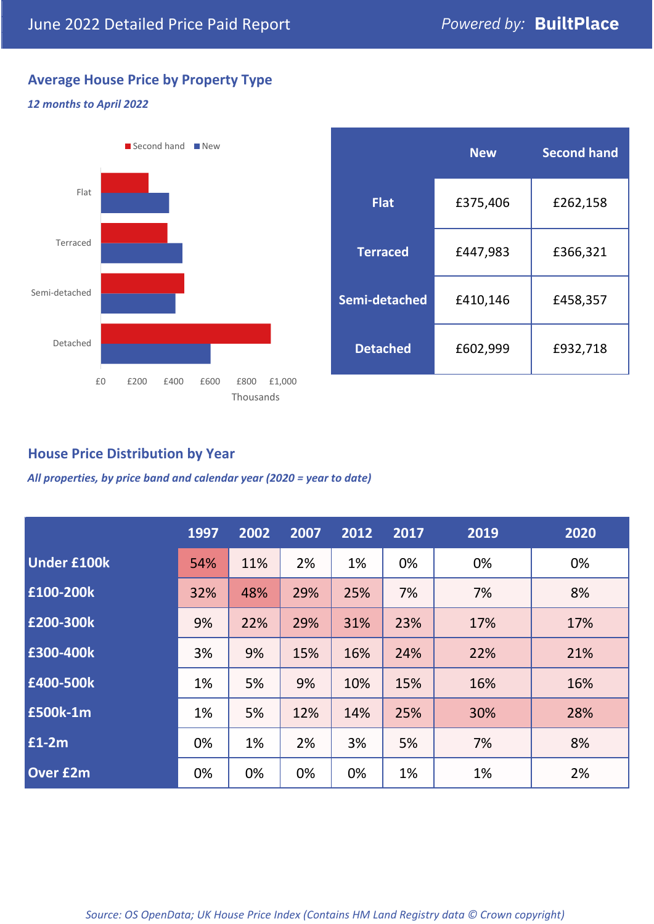# **Average House Price by Property Type**

## *12 months to April 2022*



|                 | <b>New</b> | <b>Second hand</b> |  |  |
|-----------------|------------|--------------------|--|--|
| <b>Flat</b>     | £375,406   | £262,158           |  |  |
| <b>Terraced</b> | £447,983   | £366,321           |  |  |
| Semi-detached   | £410,146   | £458,357           |  |  |
| <b>Detached</b> | £602,999   | £932,718           |  |  |

## **House Price Distribution by Year**

*All properties, by price band and calendar year (2020 = year to date)*

|                    | 1997 | 2002 | 2007 | 2012 | 2017 | 2019 | 2020 |
|--------------------|------|------|------|------|------|------|------|
| <b>Under £100k</b> | 54%  | 11%  | 2%   | 1%   | 0%   | 0%   | 0%   |
| £100-200k          | 32%  | 48%  | 29%  | 25%  | 7%   | 7%   | 8%   |
| E200-300k          | 9%   | 22%  | 29%  | 31%  | 23%  | 17%  | 17%  |
| £300-400k          | 3%   | 9%   | 15%  | 16%  | 24%  | 22%  | 21%  |
| £400-500k          | 1%   | 5%   | 9%   | 10%  | 15%  | 16%  | 16%  |
| <b>£500k-1m</b>    | 1%   | 5%   | 12%  | 14%  | 25%  | 30%  | 28%  |
| £1-2m              | 0%   | 1%   | 2%   | 3%   | 5%   | 7%   | 8%   |
| <b>Over £2m</b>    | 0%   | 0%   | 0%   | 0%   | 1%   | 1%   | 2%   |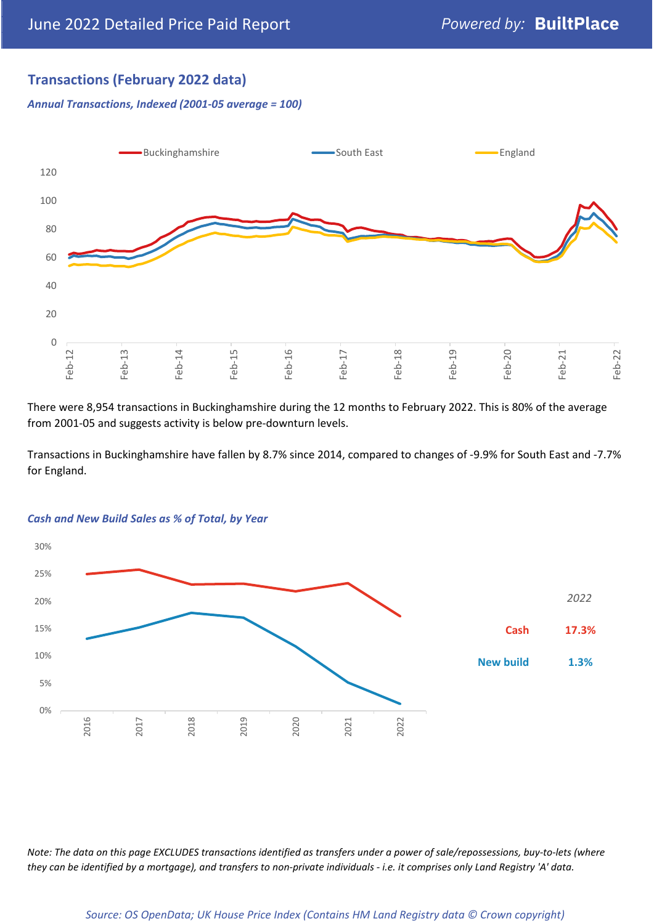## **Transactions (February 2022 data)**

*Annual Transactions, Indexed (2001-05 average = 100)*



There were 8,954 transactions in Buckinghamshire during the 12 months to February 2022. This is 80% of the average from 2001-05 and suggests activity is below pre-downturn levels.

Transactions in Buckinghamshire have fallen by 8.7% since 2014, compared to changes of -9.9% for South East and -7.7% for England.



### *Cash and New Build Sales as % of Total, by Year*

*Note: The data on this page EXCLUDES transactions identified as transfers under a power of sale/repossessions, buy-to-lets (where they can be identified by a mortgage), and transfers to non-private individuals - i.e. it comprises only Land Registry 'A' data.*